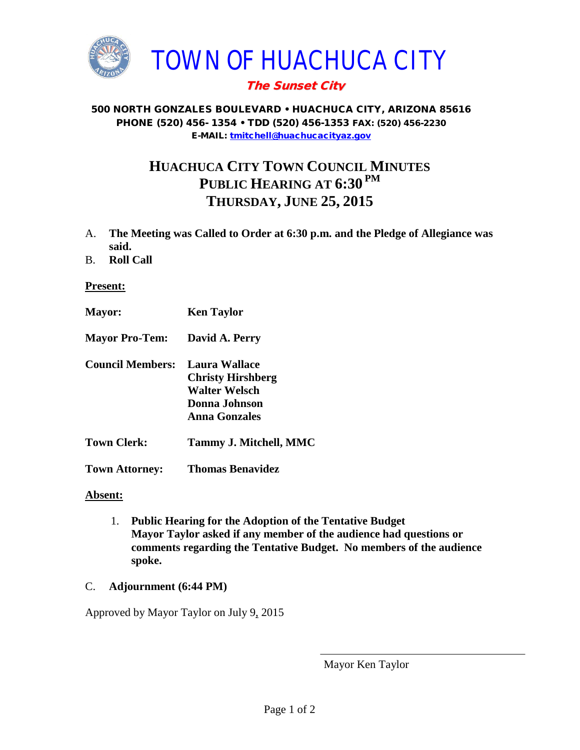

## The Sunset City

#### 500 NORTH GONZALES BOULEVARD • HUACHUCA CITY, ARIZONA 85616 PHONE (520) 456- 1354 • TDD (520) 456-1353 FAX: (520) 456-2230 E-MAIL: [tmitchell@huachucacityaz.gov](mailto:tmitchell@huachucacityaz.gov)

# **HUACHUCA CITY TOWN COUNCIL MINUTES PUBLIC HEARING AT 6:30 PM THURSDAY, JUNE 25, 2015**

- A. **The Meeting was Called to Order at 6:30 p.m. and the Pledge of Allegiance was said.**
- B. **Roll Call**

### **Present:**

- **Mayor: Ken Taylor**
- **Mayor Pro-Tem: David A. Perry**
- **Council Members: Laura Wallace Christy Hirshberg Walter Welsch Donna Johnson Anna Gonzales**
- **Town Clerk: Tammy J. Mitchell, MMC**
- **Town Attorney: Thomas Benavidez**

### **Absent:**

- 1. **Public Hearing for the Adoption of the Tentative Budget Mayor Taylor asked if any member of the audience had questions or comments regarding the Tentative Budget. No members of the audience spoke.**
- C. **Adjournment (6:44 PM)**

Approved by Mayor Taylor on July 9, 2015

Mayor Ken Taylor